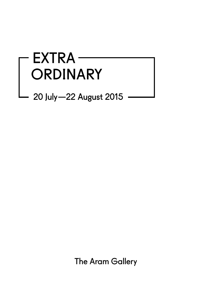# EXTRA-ORDINARY<br>20 July – 22 August 2015

The Aram Gallery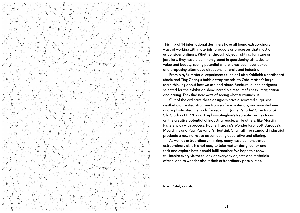

This mix of 14 international designers have all found extraordinary ways of working with materials, products or processes that most of us consider ordinary. Whether through object, lighting, furniture or jewellery, they have a common ground in questioning attitudes to value and beauty, seeing potential where it has been overlooked, and proposing alternative directions for craft and industry.

From playful material experiments such as Luisa Kahlfeldt's cardboard stools and Ying Chang's bubble wrap vessels, to Odd Matter's largescale thinking about how we use and abuse furniture, all the designers selected for the exhibition show incredible resourcefulness, imagination and daring. They find new ways of seeing what surrounds us.

Out of the ordinary, these designers have discovered surprising aesthetics, created structure from surface materials, and invented new and sophisticated methods for recycling. Jorge Penadés' Structural Skin, Silo Studio's PPPPP and Krupka—Stieghan's Recreate Textiles focus on the creative potential of industrial waste, while others, like Martijn Rigters, play with process. Rachel Harding's Wonderfluro, Soft Baroque's Mouldings and Paul Puskarich's Heatsink Chair all give standard industrial products a new narrative as something decorative and alluring.

As well as extraordinary thinking, many have demonstrated extraordinary skill. It's not easy to take matter designed for one task and explore how it could fulfil another. We hope this show will inspire every visitor to look at everyday objects and materials afresh, and to wonder about their extraordinary possibilities.

#### Riya Patel, curator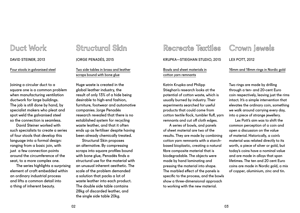Duct Work

DAVID STEINER, 2013

Four stools in galvanised steel

Joining a circular duct to a square one is a common problem when manufacturing ventilation ductwork for large buildings. The job is still done by hand, by specialist makers who pleat and spot weld the galvanised steel so the connection is seamless.

David Steiner worked with such specialists to create a series of four stools that develop this language into a formal design: ranging from a basic join, with just a few connection points around the circumference of the seat, to a more complex one.

The series highlights a surprising element of craft embedded within an ordinary industrial process and lifts a common detail into a thing of inherent beauty.

# Structural Skin

JORGE PENADÉS, 2015

Two side tables in brass and leather scraps bound with bone glue

Huge waste is created in the global leather industry, the result of only 13% of a hide being desirable to high-end fashion, furniture, footwear and automotive companies. Jorge Penadés research revealed that there is no established system for recycling waste leather, and that it often ends up as fertiliser despite having been already chemically treated.

Structural Skin proposes an alternative. By compressing scraps into square profiles bound with bone glue, Penadés finds a structural use for the material with an unusual inherent aesthetic. The scale of the problem demanded a solution that packs a lot of waste leather into each product. The double side table contains 28kg of discarded leather, and the single side table 20kg.

KRUPKA—STIEGHAN STUDIO, 2015 Bowls and sheet materials in

Recreote Textiles

cotton yarn remnants

Katrin Krupka and Philipp Stieghan's research looks at the potential of cotton waste, which is usually burned by industry. Their experiments searched for useful products that could come from cotton textile flock, tumbler fluff, yarn remnants and cut off cloth edges.

A series of bowls, and panels of sheet material are two of the results. They are made by combining cotton yarn remnants with a starchbased bioplastic, creating a natural fibre composite material that is biodegradable. The objects were made by hand laminating and pressing the material into shape. The marbled effect of the panels is specific to the process, and the bowls show a three-dimensional approach to working with the new material.

# Crown lewels

LEX POTT, 2012

16mm and 18mm rings in Nordic gold

Two rings are made by drilling through a ten- and 20-cent Euro coin respectively, leaving just the rims intact. It's a simple intervention that elevates the ordinary coin, something we walk around carrying every day, into a piece of strange jewellery.

Lex Pott's aim was to shift the common perception of a coin and open a discussion on the value of material. Historically, a coin's material was related directly to its worth, a piece of silver or gold, but today's coins have a nominal value and are made in alloys that span lifetimes. The ten and 20 cent Euro coins are made in Nordic gold, a mix of copper, aluminium, zinc and tin.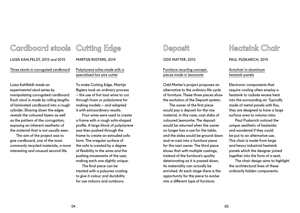## Cardboard stools Cutting Edge

LUISA KAHLFELDT, 2012 and 2015

Three stools in corrugated cardboard

Polystyrene sofas made with a specialised hot wire cutter

MARTIIN RIGTERS, 2014

Luisa Kahlfeldt made an experimental stool series by manipulating corrugated cardboard. Each stool is made by rolling lengths of laminated cardboard into a rough cylinder. Shaving down the edges reveals the coloured layers as well as the pattern of the corrugation, exposing an inherent aesthetic of the material that is not usually seen.

The aim of the project was to give cardboard, one of the most commonly recycled materials, a more interesting and unusual second life.

To make Cutting Edge, Martijn Rigters took an ordinary process – the use of hot taut wires to cut through foam or polystyrene for making models – and adapted it with extraordinary results.

Four wires were used to create a frame with a rough sofa-shaped profile. A large block of polystyrene was then pushed through the frame to create an extruded sofa form. The irregular surface of the sofa is created by a degree of flexibility in the wires and the pushing movements of the user, making each one slightly unique.

The final piece can be treated with a polyurea coating to give it colour and durability for use indoors and outdoors.

## Deposit

ODD MATTER, 2015

Furniture recycling concept, pieces made in Jesmonite

Odd Matter's project proposes an alternative to the ordinary life cycle of furniture. These three pieces show the evolution of the Deposit system.

The owner of the first piece would pay a deposit for the raw material, in this case, cast slabs of coloured Jesmonite. The deposit would be returned when the owner no longer has a use for the table, and the slabs would be ground down and re-cast into a furniture piece for the next owner. The third piece shows that with multiple castings, instead of the furniture's quality deteriorating as it is passed down, its materiality can actually be enriched. At each stage there is the opportunity for the piece to evolve into a different type of furniture.

# Heatsink Chair

PAUL PUSKARICH, 2015

Armchair in aluminium heatsink panels

Electronic components that require cooling often employ a heatsink to radiate excess heat into the surrounding air. Typically made of metal panels with fins, they are designed to have a large surface area to volume ratio.

Paul Puskarich noticed the unique aesthetic of heatsinks and wondered if they could be put to an alternative use. This chair is made from large and heavy industrial heatsink panels which the designer joined together into the form of a seat.

The chair design aims to highlight the architectural lines of these ordinarily hidden components.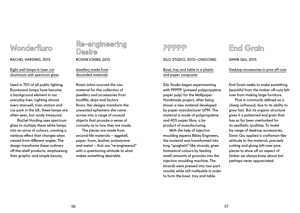# Wonderfluro

RACHEL HARDING, 2015

## Eight wall lamps in laser cut aluminium with spectrum glass

Used in 70% of all public lighting, fluorescent lamps have become a background element in our everyday lives. Lighting almost every stairwell, train station and car park in the UK, these lamps are often seen, but rarely treasured.

 Rachel Harding uses spectrum glass to multiply these white lamps into an array of colours, creating a rainbow effect that changes when viewed from different angles. The design transforms these ordinary off-the-shelf products, emphasising their graphic and simple beauty.

## Re-engineering Desire ROISIN JOHNS, 2015

Jewellery made from discarded materials

Roisin Johns sourced the raw material for this collection of jewellery and accessories from landfills, skips and factory floors. Her designs transform the unwanted ephemera she came across into a range of unusual objects that provoke a sense of curiosity as to how they are made.

The pieces are made from second-life materials – eggshell, paper, foam, leather, polystyrene and metal – that are "re-engineered" with a questioning attitude to what makes something desirable.

## PPPPP

SILO STUDIO, 2013—ONGOING

Bowl, tray and table in a plastic and paper composite

Silo Studio began experimenting with PPPPP (pressed polypropylene paper pulp) for the Wallpaper Handmade project, after being shown a new material developed by paper manufacturer UPM. The material is made of polypropylene and 40% paper fibre, a byproduct of manufacturing.

With the help of injection moulding experts Bibby Engineers, the material was transformed into long "spaghetti"-like strands, given fantastical colours by feeding small amounts of granules into the injection moulding machine. The strands were pressed into two-part moulds while still malleable in order to form the bowl, tray and table.

# End Grain

SIMIN QIU, 2015

Desktop accessories in pine off-cuts

End Grain seeks to make something beautiful from the timber off-cuts left over from making large furniture.

Pine is commonly defined as a cheap softwood, due to its ability to grow fast. But its organic structure gives it a patterned end grain that has so far been overlooked for its aesthetic qualities. To make his range of desktop accessories, Simin Qiu applied a craftsman-like attitude to the material, precisely cutting and gluing left-over pine pieces to show off an aspect of timber we always knew about but perhaps never appreciated.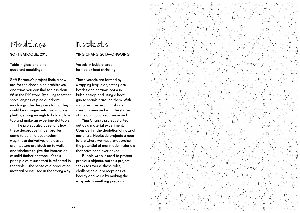# Mouldings SOFT BAROQUE, 2013

### Table in glass and pine quadrant mouldings

Soft Baroque's project finds a new use for the cheap pine architraves and trims you can find for less than £5 in the DIY store. By gluing together short lengths of pine quadrant mouldings, the designers found they could be arranged into two sinuous plinths, strong enough to hold a glass top and make an experimental table.

The project also questions how these decorative timber profiles came to be. In a postmodern way, these derivatives of classical architecture are stuck on to walls and windows to give the impression of solid timber or stone. It's this principle of misuse that is reflected in the table – the sense of a product or material being used in the wrong way.

# Neolastic

YING CHANG, 2013—ONGOING

## Vessels in bubble-wrap formed by heat shrinking

These vessels are formed by wrapping fragile objects (glass bottles and ceramic pots) in bubble wrap and using a heat gun to shrink it around them. With a scalpel, the resulting skin is carefully removed with the shape of the original object preserved.

Ying Chang's project started out as a material experiment. Considering the depletion of natural materials, Neolastic projects a near future where we must re-appraise the potential of manmade materials that have been overlooked.

Bubble wrap is used to protect precious objects, but this project seeks to reverse those roles, challenging our perceptions of beauty and value by making the wrap into something precious.